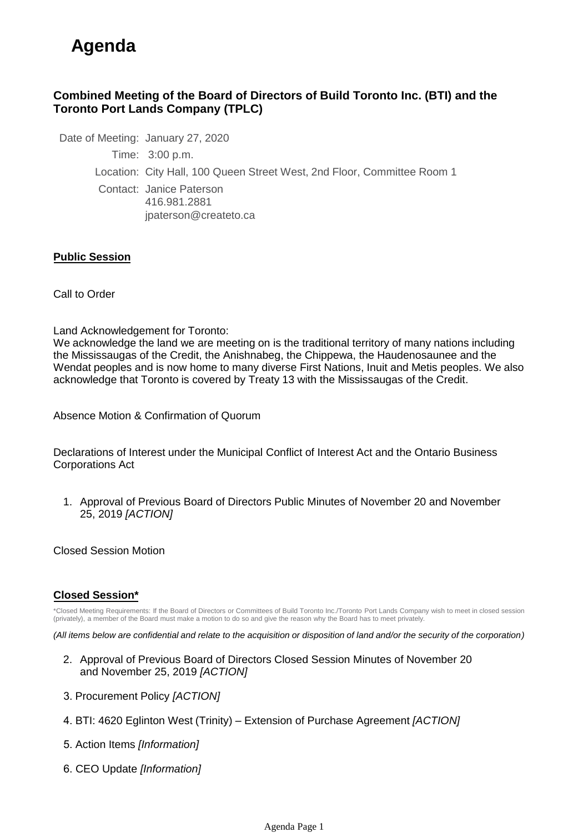# **Agenda**

### **Combined Meeting of the Board of Directors of Build Toronto Inc. (BTI) and the Toronto Port Lands Company (TPLC)**

Date of Meeting: January 27, 2020 Time: 3:00 p.m. Location: City Hall, 100 Queen Street West, 2nd Floor, Committee Room 1 Contact: Janice Paterson 416.981.2881 jpaterson@createto.ca

#### **Public Session**

Call to Order

Land Acknowledgement for Toronto:

We acknowledge the land we are meeting on is the traditional territory of many nations including the Mississaugas of the Credit, the Anishnabeg, the Chippewa, the Haudenosaunee and the Wendat peoples and is now home to many diverse First Nations, Inuit and Metis peoples. We also acknowledge that Toronto is covered by Treaty 13 with the Mississaugas of the Credit.

Absence Motion & Confirmation of Quorum

Declarations of Interest under the Municipal Conflict of Interest Act and the Ontario Business Corporations Act

1. Approval of Previous Board of Directors Public Minutes of November 20 and November 25, 2019 *[ACTION]* 

Closed Session Motion

#### **Closed Session\***

\*Closed Meeting Requirements: If the Board of Directors or Committees of Build Toronto Inc./Toronto Port Lands Company wish to meet in closed session (privately), a member of the Board must make a motion to do so and give the reason why the Board has to meet privately.

*(All items below are confidential and relate to the acquisition or disposition of land and/or the security of the corporation)*

- 2. Approval of Previous Board of Directors Closed Session Minutes of November 20 and November 25, 2019 *[ACTION]*
- 3. Procurement Policy *[ACTION]*
- 4. BTI: 4620 Eglinton West (Trinity) Extension of Purchase Agreement *[ACTION]*
- 5. Action Items *[Information]*
- 6. CEO Update *[Information]*